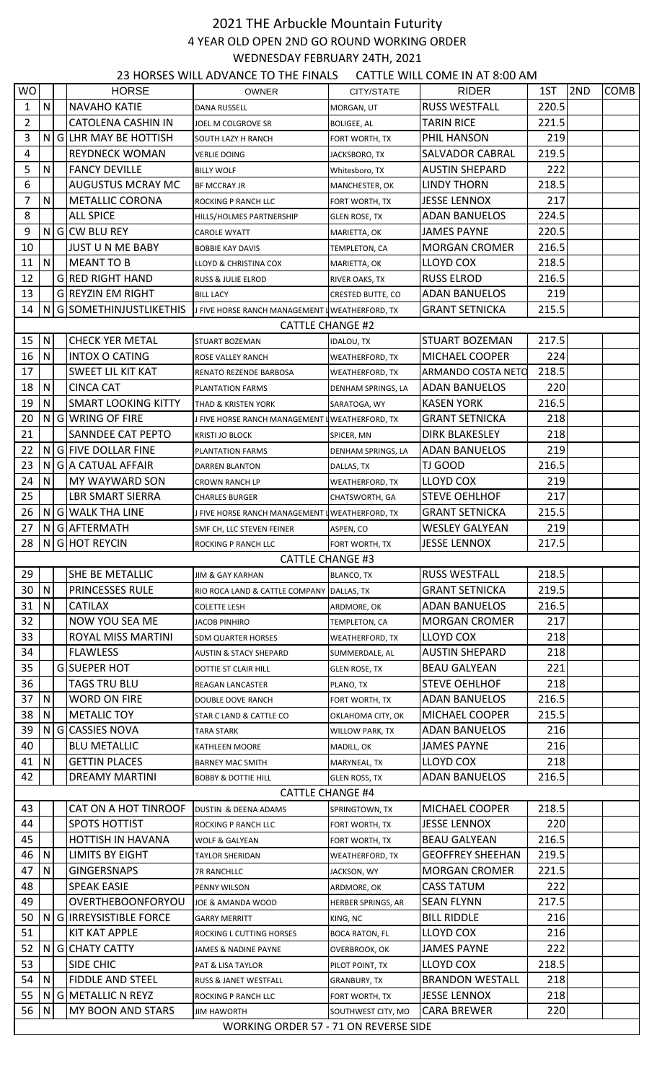## 2021 THE Arbuckle Mountain Futurity 4 YEAR OLD OPEN 2ND GO ROUND WORKING ORDER WEDNESDAY FEBRUARY 24TH, 2021

23 HORSES WILL ADVANCE TO THE FINALS CATTLE WILL COME IN AT 8:00 AM

| <b>WO</b>               |              |  | <b>HORSE</b>               | <b>OWNER</b>                                    | CITY/STATE               | <b>RIDER</b>              | 1ST   | 2ND | <b>COMB</b> |
|-------------------------|--------------|--|----------------------------|-------------------------------------------------|--------------------------|---------------------------|-------|-----|-------------|
| 1                       | N            |  | <b>NAVAHO KATIE</b>        | <b>DANA RUSSELL</b>                             | MORGAN, UT               | <b>RUSS WESTFALL</b>      | 220.5 |     |             |
| $\overline{2}$          |              |  | <b>CATOLENA CASHIN IN</b>  | JOEL M COLGROVE SR                              |                          | <b>TARIN RICE</b>         | 221.5 |     |             |
| 3                       |              |  | N GILHR MAY BE HOTTISH     |                                                 | <b>BOLIGEE, AL</b>       | PHIL HANSON               | 219   |     |             |
| 4                       |              |  | <b>REYDNECK WOMAN</b>      | SOUTH LAZY H RANCH                              | FORT WORTH, TX           | <b>SALVADOR CABRAL</b>    | 219.5 |     |             |
| 5                       | $\mathsf{N}$ |  | <b>FANCY DEVILLE</b>       | <b>VERLIE DOING</b>                             | JACKSBORO, TX            | <b>AUSTIN SHEPARD</b>     | 222   |     |             |
|                         |              |  | <b>AUGUSTUS MCRAY MC</b>   | <b>BILLY WOLF</b>                               | Whitesboro, TX           |                           |       |     |             |
| 6                       |              |  |                            | <b>BF MCCRAY JR</b>                             | MANCHESTER, OK           | <b>LINDY THORN</b>        | 218.5 |     |             |
| $\overline{7}$          | $\mathsf{N}$ |  | <b>METALLIC CORONA</b>     | ROCKING P RANCH LLC                             | FORT WORTH, TX           | <b>JESSE LENNOX</b>       | 217   |     |             |
| 8                       |              |  | <b>ALL SPICE</b>           | HILLS/HOLMES PARTNERSHIP                        | <b>GLEN ROSE, TX</b>     | <b>ADAN BANUELOS</b>      | 224.5 |     |             |
| 9                       |              |  | N G CW BLU REY             | <b>CAROLE WYATT</b>                             | MARIETTA, OK             | <b>JAMES PAYNE</b>        | 220.5 |     |             |
| 10                      |              |  | <b>JUST U N ME BABY</b>    | <b>BOBBIE KAY DAVIS</b>                         | TEMPLETON, CA            | <b>MORGAN CROMER</b>      | 216.5 |     |             |
| 11                      | N            |  | <b>MEANT TO B</b>          | LLOYD & CHRISTINA COX                           | MARIETTA, OK             | <b>LLOYD COX</b>          | 218.5 |     |             |
| 12                      |              |  | <b>GIRED RIGHT HAND</b>    | RUSS & JULIE ELROD                              | RIVER OAKS, TX           | <b>RUSS ELROD</b>         | 216.5 |     |             |
| 13                      |              |  | <b>G</b> REYZIN EM RIGHT   | <b>BILL LACY</b>                                | <b>CRESTED BUTTE, CO</b> | <b>ADAN BANUELOS</b>      | 219   |     |             |
| 14                      | N            |  | G SOMETHINJUSTLIKETHIS     | J FIVE HORSE RANCH MANAGEMENT I WEATHERFORD, TX |                          | <b>GRANT SETNICKA</b>     | 215.5 |     |             |
| <b>CATTLE CHANGE #2</b> |              |  |                            |                                                 |                          |                           |       |     |             |
| 15                      | ${\sf N}$    |  | <b>CHECK YER METAL</b>     | <b>STUART BOZEMAN</b>                           | <b>IDALOU, TX</b>        | <b>STUART BOZEMAN</b>     | 217.5 |     |             |
| 16                      | $\mathsf{N}$ |  | <b>INTOX O CATING</b>      | ROSE VALLEY RANCH                               | WEATHERFORD, TX          | MICHAEL COOPER            | 224   |     |             |
| 17                      |              |  | <b>SWEET LIL KIT KAT</b>   | RENATO REZENDE BARBOSA                          | WEATHERFORD, TX          | <b>ARMANDO COSTA NETO</b> | 218.5 |     |             |
| 18                      | $\mathsf{N}$ |  | <b>CINCA CAT</b>           | PLANTATION FARMS                                | DENHAM SPRINGS, LA       | ADAN BANUELOS             | 220   |     |             |
| 19                      | N            |  | <b>SMART LOOKING KITTY</b> | THAD & KRISTEN YORK                             | SARATOGA, WY             | <b>KASEN YORK</b>         | 216.5 |     |             |
| 20                      |              |  | N G WRING OF FIRE          | J FIVE HORSE RANCH MANAGEMENT I WEATHERFORD, TX |                          | <b>GRANT SETNICKA</b>     | 218   |     |             |
| 21                      |              |  | SANNDEE CAT PEPTO          | KRISTI JO BLOCK                                 | SPICER, MN               | <b>DIRK BLAKESLEY</b>     | 218   |     |             |
| 22                      | N            |  | G FIVE DOLLAR FINE         | PLANTATION FARMS                                | DENHAM SPRINGS, LA       | <b>ADAN BANUELOS</b>      | 219   |     |             |
| 23                      | N            |  | G A CATUAL AFFAIR          | DARREN BLANTON                                  | DALLAS, TX               | TJ GOOD                   | 216.5 |     |             |
| 24                      | N            |  | MY WAYWARD SON             |                                                 |                          | LLOYD COX                 | 219   |     |             |
| 25                      |              |  |                            | <b>CROWN RANCH LP</b>                           | <b>WEATHERFORD, TX</b>   | <b>STEVE OEHLHOF</b>      | 217   |     |             |
|                         |              |  | <b>LBR SMART SIERRA</b>    | <b>CHARLES BURGER</b>                           | CHATSWORTH, GA           |                           |       |     |             |
| 26                      | N            |  | <b>G</b> WALK THA LINE     | J FIVE HORSE RANCH MANAGEMENT I WEATHERFORD, TX |                          | <b>GRANT SETNICKA</b>     | 215.5 |     |             |
| 27                      | ΝI           |  | GAFTERMATH                 | SMF CH, LLC STEVEN FEINER                       | ASPEN, CO                | <b>WESLEY GALYEAN</b>     | 219   |     |             |
| 28                      | N            |  | <b>GHOT REYCIN</b>         | ROCKING P RANCH LLC                             | FORT WORTH, TX           | <b>JESSE LENNOX</b>       | 217.5 |     |             |
|                         |              |  |                            | <b>CATTLE CHANGE #3</b>                         |                          |                           |       |     |             |
| 29                      |              |  | SHE BE METALLIC            | JIM & GAY KARHAN                                | <b>BLANCO, TX</b>        | <b>RUSS WESTFALL</b>      | 218.5 |     |             |
| 30                      | N            |  | <b>PRINCESSES RULE</b>     | RIO ROCA LAND & CATTLE COMPANY DALLAS. TX       |                          | <b>GRANT SETNICKA</b>     | 219.5 |     |             |
| 31                      | N            |  | <b>CATILAX</b>             | <b>COLETTE LESH</b>                             | ARDMORE, OK              | <b>ADAN BANUELOS</b>      | 216.5 |     |             |
| 32                      |              |  | <b>NOW YOU SEA ME</b>      | <b>JACOB PINHIRO</b>                            | TEMPLETON, CA            | <b>MORGAN CROMER</b>      | 217   |     |             |
| 33                      |              |  | ROYAL MISS MARTINI         | <b>SDM QUARTER HORSES</b>                       | <b>WEATHERFORD, TX</b>   | LLOYD COX                 | 218   |     |             |
| 34                      |              |  | <b>FLAWLESS</b>            | <b>AUSTIN &amp; STACY SHEPARD</b>               | SUMMERDALE, AL           | <b>AUSTIN SHEPARD</b>     | 218   |     |             |
| 35                      |              |  | <b>GISUEPER HOT</b>        | <b>DOTTIE ST CLAIR HILL</b>                     | <b>GLEN ROSE, TX</b>     | <b>BEAU GALYEAN</b>       | 221   |     |             |
| 36                      |              |  | <b>TAGS TRU BLU</b>        | <b>REAGAN LANCASTER</b>                         | PLANO, TX                | <b>STEVE OEHLHOF</b>      | 218   |     |             |
| 37                      | N            |  | <b>WORD ON FIRE</b>        | DOUBLE DOVE RANCH                               | FORT WORTH, TX           | <b>ADAN BANUELOS</b>      | 216.5 |     |             |
| 38                      | N            |  | <b>METALIC TOY</b>         | STAR C LAND & CATTLE CO                         | OKLAHOMA CITY, OK        | <b>MICHAEL COOPER</b>     | 215.5 |     |             |
| 39                      | N.           |  | GICASSIES NOVA             | <b>TARA STARK</b>                               | <b>WILLOW PARK, TX</b>   | <b>ADAN BANUELOS</b>      | 216   |     |             |
| 40                      |              |  | <b>BLU METALLIC</b>        | KATHLEEN MOORE                                  | MADILL, OK               | <b>JAMES PAYNE</b>        | 216   |     |             |
| 41                      | $\mathsf{N}$ |  | <b>GETTIN PLACES</b>       | <b>BARNEY MAC SMITH</b>                         | MARYNEAL, TX             | LLOYD COX                 | 218   |     |             |
| 42                      |              |  | <b>DREAMY MARTINI</b>      | <b>BOBBY &amp; DOTTIE HILL</b>                  | <b>GLEN ROSS, TX</b>     | <b>ADAN BANUELOS</b>      | 216.5 |     |             |
|                         |              |  |                            | <b>CATTLE CHANGE #4</b>                         |                          |                           |       |     |             |
| 43                      |              |  | CAT ON A HOT TINROOF       | DUSTIN & DEENA ADAMS                            | SPRINGTOWN, TX           | <b>MICHAEL COOPER</b>     | 218.5 |     |             |
| 44                      |              |  | <b>SPOTS HOTTIST</b>       | ROCKING P RANCH LLC                             | FORT WORTH, TX           | <b>JESSE LENNOX</b>       | 220   |     |             |
| 45                      |              |  | HOTTISH IN HAVANA          | WOLF & GALYEAN                                  | FORT WORTH, TX           | <b>BEAU GALYEAN</b>       | 216.5 |     |             |
| 46                      | N            |  | <b>LIMITS BY EIGHT</b>     |                                                 |                          | <b>GEOFFREY SHEEHAN</b>   | 219.5 |     |             |
| 47                      |              |  |                            | <b>TAYLOR SHERIDAN</b>                          | WEATHERFORD, TX          |                           |       |     |             |
|                         | N            |  | <b>GINGERSNAPS</b>         | <b>7R RANCHLLC</b>                              | JACKSON, WY              | <b>MORGAN CROMER</b>      | 221.5 |     |             |
| 48                      |              |  | <b>SPEAK EASIE</b>         | PENNY WILSON                                    | ARDMORE, OK              | <b>CASS TATUM</b>         | 222   |     |             |
| 49                      |              |  | OVERTHEBOONFORYOU          | JOE & AMANDA WOOD                               | HERBER SPRINGS, AR       | <b>SEAN FLYNN</b>         | 217.5 |     |             |
| 50                      |              |  | N GIRREYSISTIBLE FORCE     | <b>GARRY MERRITT</b>                            | KING, NC                 | <b>BILL RIDDLE</b>        | 216   |     |             |
| 51                      |              |  | <b>KIT KAT APPLE</b>       | ROCKING L CUTTING HORSES                        | <b>BOCA RATON, FL</b>    | <b>LLOYD COX</b>          | 216   |     |             |
| 52                      | N            |  | <b>G</b> CHATY CATTY       | JAMES & NADINE PAYNE                            | OVERBROOK, OK            | <b>JAMES PAYNE</b>        | 222   |     |             |
| 53                      |              |  | SIDE CHIC                  | <b>PAT &amp; LISA TAYLOR</b>                    | PILOT POINT, TX          | <b>LLOYD COX</b>          | 218.5 |     |             |
| 54                      | N            |  | <b>FIDDLE AND STEEL</b>    | RUSS & JANET WESTFALL                           | <b>GRANBURY, TX</b>      | <b>BRANDON WESTALL</b>    | 218   |     |             |
| 55                      | N            |  | G METALLIC N REYZ          | ROCKING P RANCH LLC                             | FORT WORTH, TX           | <b>JESSE LENNOX</b>       | 218   |     |             |
| 56                      | N            |  | MY BOON AND STARS          | <b>JIM HAWORTH</b>                              | SOUTHWEST CITY, MO       | <b>CARA BREWER</b>        | 220   |     |             |
|                         |              |  |                            | <b>WORKING ORDER 57 - 71 ON REVERSE SIDE</b>    |                          |                           |       |     |             |